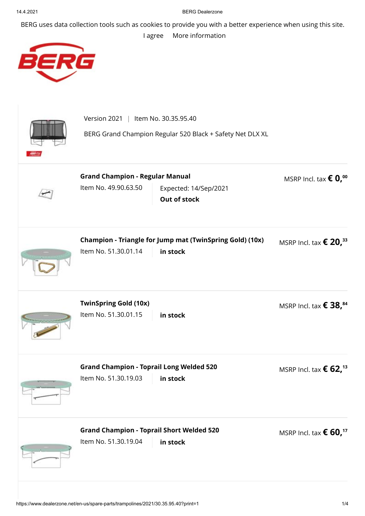## 14.4.2021 BERG Dealerzone

BERG uses data collection tools such as cookies to provide you with a better experience when using this site.

## [I agree](https://www.dealerzone.net/en-us/spare-parts/trampolines/2021/30.35.95.40?print=1) [More information](https://www.dealerzone.net/en-us/privacy-policy/)



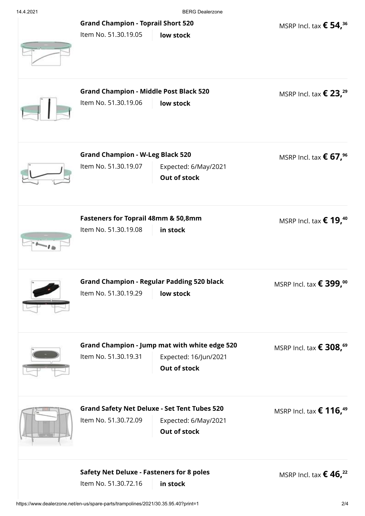14.4.2021 BERG Dealerzone

**[Grand Champion - Toprail Short 520](https://www.dealerzone.net/en-us/spare-parts/trampolines/2021/30.35.95.40/grand-champion-toprail-short-520-51.30.19.05?returnurl=https%3a%2f%2fwww.dealerzone.net%2fen-us%2fspare-parts%2ftrampolines%2f2021%2f30.35.95.40%3fprint%3d1)**

MSRP Incl. tax **€ 54, 36**

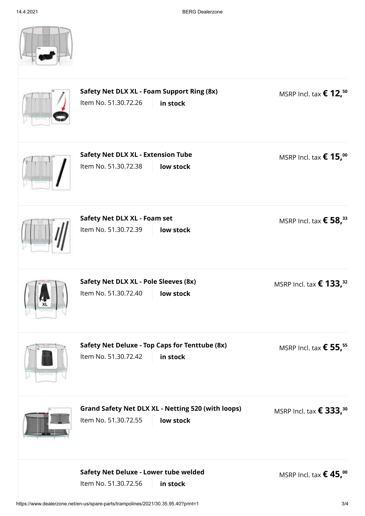|           | Safety Net DLX XL - Foam Support Ring (8x)<br>Item No. 51.30.72.26<br>in stock                 | MSRP Incl. tax $\epsilon$ 12, <sup>50</sup>  |
|-----------|------------------------------------------------------------------------------------------------|----------------------------------------------|
|           | <b>Safety Net DLX XL - Extension Tube</b><br>Item No. 51.30.72.38<br>low stock                 | MSRP Incl. tax $\epsilon$ 15, <sup>00</sup>  |
|           | Safety Net DLX XL - Foam set<br>Item No. 51.30.72.39<br>low stock                              | MSRP Incl. tax $\epsilon$ 58, <sup>33</sup>  |
| <b>XL</b> | Safety Net DLX XL - Pole Sleeves (8x)<br>Item No. 51.30.72.40<br>low stock                     | MSRP Incl. tax $\epsilon$ 133, <sup>32</sup> |
|           | Safety Net Deluxe - Top Caps for Tenttube (8x)<br>Item No. 51.30.72.42<br>in stock             | MSRP Incl. tax $\epsilon$ 55, <sup>55</sup>  |
|           | <b>Grand Safety Net DLX XL - Netting 520 (with loops)</b><br>Item No. 51.30.72.55<br>low stock | MSRP Incl. tax $\epsilon$ 333, <sup>30</sup> |
|           | Safety Net Deluxe - Lower tube welded<br>Item No. 51.30.72.56<br>in stock                      | MSRP Incl. tax $\epsilon$ 45, <sup>00</sup>  |